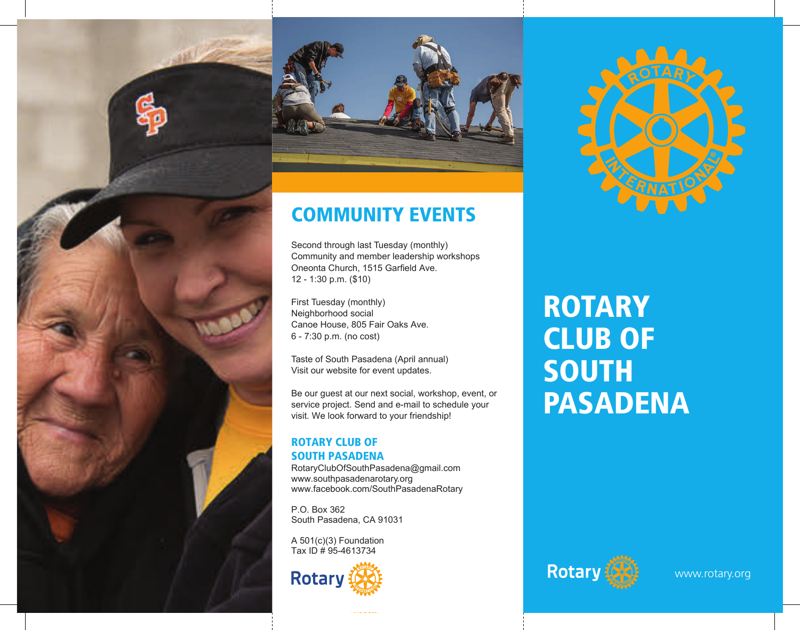



# **COMMUNITY EVENTS**

COMMUNITY EVENTS

Second through last Tuesday (monthly) Community and member leadership workshops Oneonta Church, 1515 Garfield Ave. 12 - 1:30 p.m. (\$10)

First Tuesday (monthly) Neighborhood social Canoe House, 805 Fair Oaks Ave. 6 - 7:30 p.m. (no cost)

Taste of South Pasadena (April annual) Visit our website for event updates.

Be our guest at our next social, workshop, event, or service project. Send and e-mail to schedule your visit. We look forward to your friendship!

Untitled - Page: 1 2017-04-14 19:00:45 +0000

#### ROTARY CLUB OF SOUTH PASADENA ROTARY CLUB OF

RotaryClubOfSouthPasadena@gmail.com www.southpasadenarotary.org www.facebook.com/SouthPasadenaRotary South Pasadena, CA 91031

P.O. Box 362 South Pasadena, CA 91031 A 501(c)(3) Foundation  $S$ 

A 501(c)(3) Foundation Tax ID # 95-4613734



#### ROTARY CLUB OF **SOUTH** PASADENA Rota Ry **KOIAKY** CLUB O SOUIH<br>Decentuur



www.rotary.org